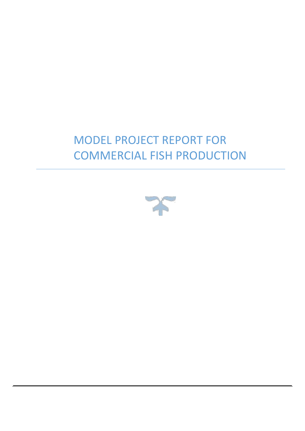## MODEL PROJECT REPORT FOR COMMERCIAL FISH PRODUCTION

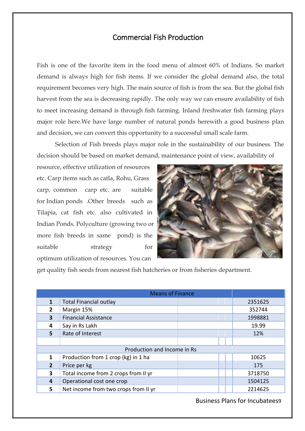## Commercial Fish Production

Fish is one of the favorite item in the food menu of almost 60% of Indians. So market demand is always high for fish items. If we consider the global demand also, the total requirement becomes very high. The main source of fish is from the sea. But the global fish harvest from the sea is decreasing rapidly. The only way we can ensure availability of fish to meet increasing demand is through fish farming. Inland freshwater fish farming plays major role here.We have large number of natural ponds herewith a good business plan and decision, we can convert this opportunity to a successful small scale farm.

Selection of Fish breeds plays major role in the sustainability of our business. The decision should be based on market demand, maintenance point of view, availability of

resource, effective utilization of resources etc. Carp items such as catla, Rohu, Grass carp, common carp etc. are suitable for Indian ponds .Other breeds such as Tilapia, cat fish etc. also cultivated in Indian Ponds. Polyculture (growing two or more fish breeds in same pond) is the suitable strategy for optimum utilization of resources. You can



get quality fish seeds from nearest fish hatcheries or from fisheries department.

| 1              | <b>Total Financial outlay</b>        |  | 2351625 |
|----------------|--------------------------------------|--|---------|
| $\mathbf{2}$   | Margin 15%                           |  | 352744  |
| 3              | <b>Financial Assistance</b>          |  | 1998881 |
| 4              | Say in Rs Lakh                       |  | 19.99   |
| 5              | Rate of Interest                     |  | 12%     |
|                |                                      |  |         |
|                | Production and Income in Rs          |  |         |
| 1              | Production from 1 crop (kg) in 1 ha  |  | 10625   |
| $\overline{2}$ | Price per kg                         |  | 175     |
| 3              | Total income from 2 crops from II yr |  | 3718750 |
| 4              | Operational cost one crop            |  | 1504125 |
| 5.             | Net income from two crops from II yr |  | 2214625 |

Business Plans for Incubatees9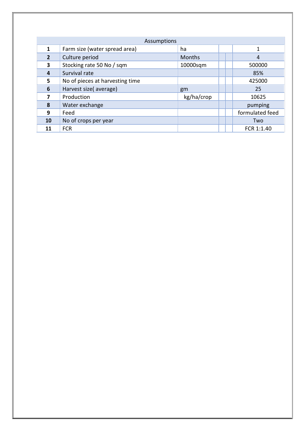| Assumptions    |                                 |            |  |                 |  |  |  |
|----------------|---------------------------------|------------|--|-----------------|--|--|--|
| 1              | Farm size (water spread area)   | ha         |  | 1               |  |  |  |
| $\overline{2}$ | Culture period                  | Months     |  | $\overline{4}$  |  |  |  |
| 3              | Stocking rate 50 No / sqm       | 10000sqm   |  | 500000          |  |  |  |
| 4              | Survival rate                   |            |  | 85%             |  |  |  |
| 5              | No of pieces at harvesting time |            |  | 425000          |  |  |  |
| 6              | Harvest size(average)           | gm         |  | 25              |  |  |  |
| 7              | Production                      | kg/ha/crop |  | 10625           |  |  |  |
| 8              | Water exchange                  |            |  | pumping         |  |  |  |
| 9              | Feed                            |            |  | formulated feed |  |  |  |
| 10             | No of crops per year            |            |  | Two             |  |  |  |
| 11             | <b>FCR</b>                      |            |  | FCR 1:1.40      |  |  |  |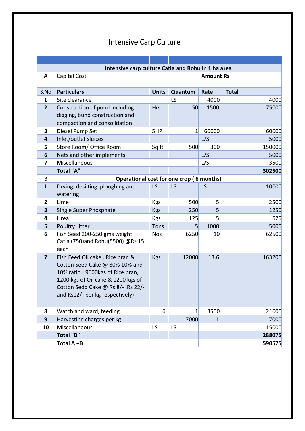| Intensive Carp Culture |  |  |
|------------------------|--|--|
|------------------------|--|--|

| Intensive carp culture Catla and Rohu in 1 ha area |                                                                                                                                                                                                                      |              |                  |              |              |  |  |  |  |
|----------------------------------------------------|----------------------------------------------------------------------------------------------------------------------------------------------------------------------------------------------------------------------|--------------|------------------|--------------|--------------|--|--|--|--|
| A                                                  | Capital Cost                                                                                                                                                                                                         |              | <b>Amount Rs</b> |              |              |  |  |  |  |
| S.No                                               | <b>Particulars</b>                                                                                                                                                                                                   | <b>Units</b> | Quantum          | Rate         | <b>Total</b> |  |  |  |  |
| 1                                                  | Site clearance                                                                                                                                                                                                       |              | LS               | 4000         | 4000         |  |  |  |  |
| $\overline{2}$                                     | Construction of pond including<br>digging, bund construction and<br>compaction and consolidation                                                                                                                     | <b>Hrs</b>   | 50               | 1500         | 75000        |  |  |  |  |
| 3                                                  | Diesel Pump Set                                                                                                                                                                                                      | 5HP          | $\overline{1}$   | 60000        | 60000        |  |  |  |  |
| 4                                                  | Inlet/outlet sluices                                                                                                                                                                                                 |              |                  | L/S          | 5000         |  |  |  |  |
| 5                                                  | Store Room/ Office Room                                                                                                                                                                                              | Sq ft        | 500              | 300          | 150000       |  |  |  |  |
| 6                                                  | Nets and other implements                                                                                                                                                                                            |              |                  | L/S          | 5000         |  |  |  |  |
| 7                                                  | Miscellaneous                                                                                                                                                                                                        |              |                  | L/S          | 3500         |  |  |  |  |
|                                                    | <b>Total "A"</b>                                                                                                                                                                                                     |              |                  |              | 302500       |  |  |  |  |
| B                                                  | Operational cost for one crop (6 months)                                                                                                                                                                             |              |                  |              |              |  |  |  |  |
| $\mathbf{1}$                                       | Drying, desilting, ploughing and<br>watering                                                                                                                                                                         | LS           | LS               | <b>LS</b>    | 10000        |  |  |  |  |
| $\overline{2}$                                     | Lime                                                                                                                                                                                                                 | Kgs          | 500              | 5            | 2500         |  |  |  |  |
| 3                                                  | Single Super Phosphate                                                                                                                                                                                               | <b>Kgs</b>   | 250              | 5            | 1250         |  |  |  |  |
| 4                                                  | Urea                                                                                                                                                                                                                 | <b>Kgs</b>   | 125              | 5            | 625          |  |  |  |  |
| 5                                                  | <b>Poultry Litter</b>                                                                                                                                                                                                | Tons         | 5                | 1000         | 5000         |  |  |  |  |
| 6                                                  | Fish Seed 200-250 gms weight<br>Catla (750) and Rohu (5500) @Rs 15<br>each                                                                                                                                           | <b>Nos</b>   | 6250             | 10           | 62500        |  |  |  |  |
| $\overline{7}$                                     | Fish Feed Oil cake, Rice bran &<br>Cotton Seed Cake @ 80% 10% and<br>10% ratio (9600kgs of Rice bran,<br>1200 kgs of Oil cake & 1200 kgs of<br>Cotton Sedd Cake @ Rs 8/-, Rs 22/-<br>and Rs12/- per kg respectively) | <b>Kgs</b>   | 12000            | 13.6         | 163200       |  |  |  |  |
| 8                                                  | Watch and ward, feeding                                                                                                                                                                                              | 6            | $1\vert$         | 3500         | 21000        |  |  |  |  |
| 9                                                  | Harvesting charges per kg                                                                                                                                                                                            |              | 7000             | $\mathbf{1}$ | 7000         |  |  |  |  |
| 10                                                 | Miscellaneous                                                                                                                                                                                                        | LS           | LS               |              | 15000        |  |  |  |  |
|                                                    | <b>Total "B"</b>                                                                                                                                                                                                     |              |                  |              | 288075       |  |  |  |  |
|                                                    | Total A +B                                                                                                                                                                                                           |              |                  |              | 590575       |  |  |  |  |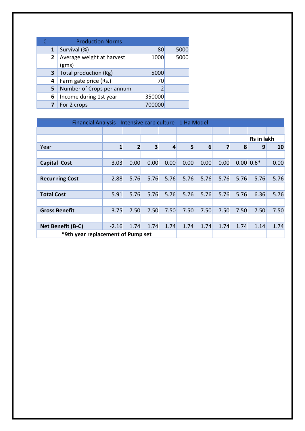|              | <b>Production Norms</b>            |        |      |
|--------------|------------------------------------|--------|------|
| 1            | Survival (%)                       | 80     | 5000 |
| $\mathbf{2}$ | Average weight at harvest<br>(gms) | 1000   | 5000 |
| 3            | Total production (Kg)              | 5000   |      |
| 4            | Farm gate price (Rs.)              | 70     |      |
| 5            | Number of Crops per annum          |        |      |
| 6            | Income during 1st year             | 350000 |      |
|              | For 2 crops                        | 700000 |      |

| Financial Analysis - Intensive carp culture - 1 Ha Model |         |                |      |      |      |      |      |      |                |      |
|----------------------------------------------------------|---------|----------------|------|------|------|------|------|------|----------------|------|
|                                                          |         |                |      |      |      |      |      |      |                |      |
|                                                          |         |                |      |      |      |      |      |      | Rs in lakh     |      |
| Year                                                     | 1       | $\overline{2}$ | 3    | 4    | 5    | 6    | 7    | 8    | 9              | 10   |
|                                                          |         |                |      |      |      |      |      |      |                |      |
| <b>Capital Cost</b>                                      | 3.03    | 0.00           | 0.00 | 0.00 | 0.00 | 0.00 | 0.00 |      | $0.00 \, 0.6*$ | 0.00 |
|                                                          |         |                |      |      |      |      |      |      |                |      |
| <b>Recur ring Cost</b>                                   | 2.88    | 5.76           | 5.76 | 5.76 | 5.76 | 5.76 | 5.76 | 5.76 | 5.76           | 5.76 |
|                                                          |         |                |      |      |      |      |      |      |                |      |
| <b>Total Cost</b>                                        | 5.91    | 5.76           | 5.76 | 5.76 | 5.76 | 5.76 | 5.76 | 5.76 | 6.36           | 5.76 |
|                                                          |         |                |      |      |      |      |      |      |                |      |
| <b>Gross Benefit</b>                                     | 3.75    | 7.50           | 7.50 | 7.50 | 7.50 | 7.50 | 7.50 | 7.50 | 7.50           | 7.50 |
|                                                          |         |                |      |      |      |      |      |      |                |      |
| Net Benefit (B-C)                                        | $-2.16$ | 1.74           | 1.74 | 1.74 | 1.74 | 1.74 | 1.74 | 1.74 | 1.14           | 1.74 |
| *9th year replacement of Pump set                        |         |                |      |      |      |      |      |      |                |      |